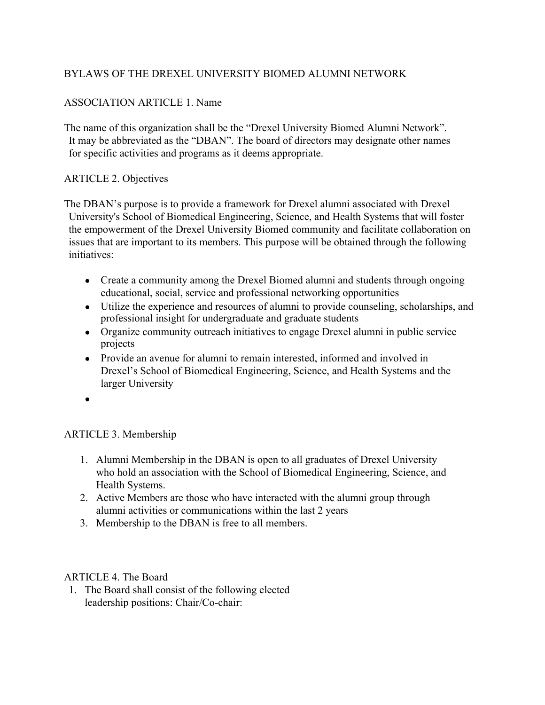# BYLAWS OF THE DREXEL UNIVERSITY BIOMED ALUMNI NETWORK

# ASSOCIATION ARTICLE 1. Name

The name of this organization shall be the "Drexel University Biomed Alumni Network". It may be abbreviated as the "DBAN". The board of directors may designate other names for specific activities and programs as it deems appropriate.

### ARTICLE 2. Objectives

The DBAN's purpose is to provide a framework for Drexel alumni associated with Drexel University's School of Biomedical Engineering, Science, and Health Systems that will foster the empowerment of the Drexel University Biomed community and facilitate collaboration on issues that are important to its members. This purpose will be obtained through the following initiatives:

- Create a community among the Drexel Biomed alumni and students through ongoing educational, social, service and professional networking opportunities
- Utilize the experience and resources of alumni to provide counseling, scholarships, and professional insight for undergraduate and graduate students
- Organize community outreach initiatives to engage Drexel alumni in public service projects
- Provide an avenue for alumni to remain interested, informed and involved in Drexel's School of Biomedical Engineering, Science, and Health Systems and the larger University
- ●

### ARTICLE 3. Membership

- 1. Alumni Membership in the DBAN is open to all graduates of Drexel University who hold an association with the School of Biomedical Engineering, Science, and Health Systems.
- 2. Active Members are those who have interacted with the alumni group through alumni activities or communications within the last 2 years
- 3. Membership to the DBAN is free to all members.

### ARTICLE 4. The Board

1. The Board shall consist of the following elected leadership positions: Chair/Co-chair: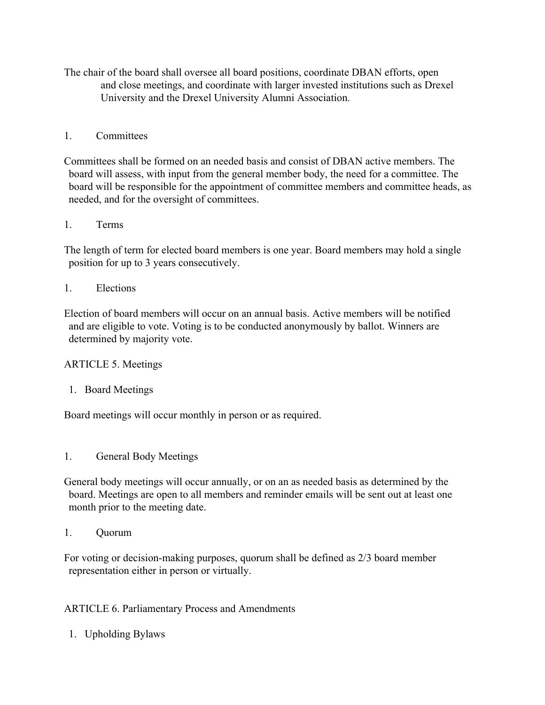The chair of the board shall oversee all board positions, coordinate DBAN efforts, open and close meetings, and coordinate with larger invested institutions such as Drexel University and the Drexel University Alumni Association.

### 1. Committees

Committees shall be formed on an needed basis and consist of DBAN active members. The board will assess, with input from the general member body, the need for a committee. The board will be responsible for the appointment of committee members and committee heads, as needed, and for the oversight of committees.

### 1. Terms

The length of term for elected board members is one year. Board members may hold a single position for up to 3 years consecutively.

# 1. Elections

Election of board members will occur on an annual basis. Active members will be notified and are eligible to vote. Voting is to be conducted anonymously by ballot. Winners are determined by majority vote.

### ARTICLE 5. Meetings

1. Board Meetings

Board meetings will occur monthly in person or as required.

1. General Body Meetings

General body meetings will occur annually, or on an as needed basis as determined by the board. Meetings are open to all members and reminder emails will be sent out at least one month prior to the meeting date.

1. Quorum

For voting or decision-making purposes, quorum shall be defined as 2/3 board member representation either in person or virtually.

### ARTICLE 6. Parliamentary Process and Amendments

1. Upholding Bylaws